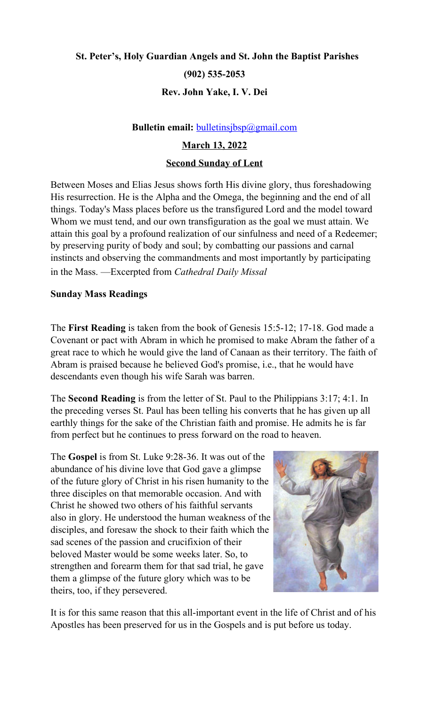# **St. Peter's, Holy Guardian Angels and St. John the Baptist Parishes (902) 535-2053 Rev. John Yake, I. V. Dei**

# **Bulletin email:** [bulletinsjbsp@gmail.com](mailto:bulletinsjbsp@gmail.com)

# **March 13, 2022**

## **Second Sunday of Lent**

Between Moses and Elias Jesus shows forth His divine glory, thus foreshadowing His resurrection. He is the Alpha and the Omega, the beginning and the end of all things. Today's Mass places before us the transfigured Lord and the model toward Whom we must tend, and our own transfiguration as the goal we must attain. We attain this goal by a profound realization of our sinfulness and need of a Redeemer; by preserving purity of body and soul; by combatting our passions and carnal instincts and observing the commandments and most importantly by participating in the Mass. —Excerpted from *Cathedral Daily Missal*

# **Sunday Mass Readings**

The **First Reading** is taken from the book of Genesis 15:5-12; 17-18. God made a Covenant or pact with Abram in which he promised to make Abram the father of a great race to which he would give the land of Canaan as their territory. The faith of Abram is praised because he believed God's promise, i.e., that he would have descendants even though his wife Sarah was barren.

The **Second Reading** is from the letter of St. Paul to the Philippians 3:17; 4:1. In the preceding verses St. Paul has been telling his converts that he has given up all earthly things for the sake of the Christian faith and promise. He admits he is far from perfect but he continues to press forward on the road to heaven.

The **Gospel** is from St. Luke 9:28-36. It was out of the abundance of his divine love that God gave a glimpse of the future glory of Christ in his risen humanity to the three disciples on that memorable occasion. And with Christ he showed two others of his faithful servants also in glory. He understood the human weakness of the disciples, and foresaw the shock to their faith which the sad scenes of the passion and crucifixion of their beloved Master would be some weeks later. So, to strengthen and forearm them for that sad trial, he gave them a glimpse of the future glory which was to be theirs, too, if they persevered.



It is for this same reason that this all-important event in the life of Christ and of his Apostles has been preserved for us in the Gospels and is put before us today.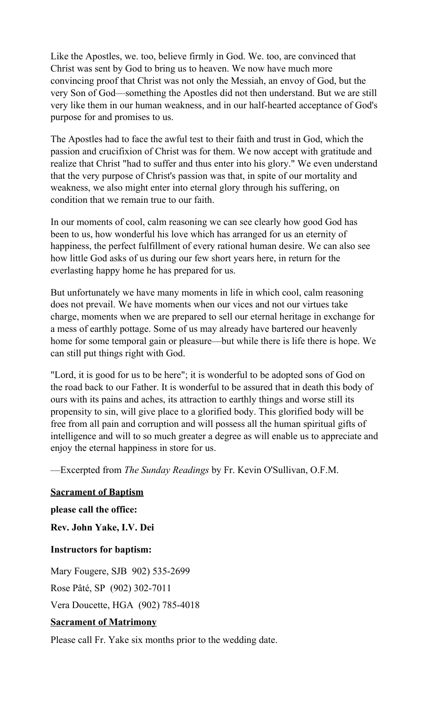Like the Apostles, we. too, believe firmly in God. We. too, are convinced that Christ was sent by God to bring us to heaven. We now have much more convincing proof that Christ was not only the Messiah, an envoy of God, but the very Son of God—something the Apostles did not then understand. But we are still very like them in our human weakness, and in our half-hearted acceptance of God's purpose for and promises to us.

The Apostles had to face the awful test to their faith and trust in God, which the passion and crucifixion of Christ was for them. We now accept with gratitude and realize that Christ "had to suffer and thus enter into his glory." We even understand that the very purpose of Christ's passion was that, in spite of our mortality and weakness, we also might enter into eternal glory through his suffering, on condition that we remain true to our faith.

In our moments of cool, calm reasoning we can see clearly how good God has been to us, how wonderful his love which has arranged for us an eternity of happiness, the perfect fulfillment of every rational human desire. We can also see how little God asks of us during our few short years here, in return for the everlasting happy home he has prepared for us.

But unfortunately we have many moments in life in which cool, calm reasoning does not prevail. We have moments when our vices and not our virtues take charge, moments when we are prepared to sell our eternal heritage in exchange for a mess of earthly pottage. Some of us may already have bartered our heavenly home for some temporal gain or pleasure—but while there is life there is hope. We can still put things right with God.

"Lord, it is good for us to be here"; it is wonderful to be adopted sons of God on the road back to our Father. It is wonderful to be assured that in death this body of ours with its pains and aches, its attraction to earthly things and worse still its propensity to sin, will give place to a glorified body. This glorified body will be free from all pain and corruption and will possess all the human spiritual gifts of intelligence and will to so much greater a degree as will enable us to appreciate and enjoy the eternal happiness in store for us.

—Excerpted from *The Sunday Readings* by Fr. Kevin O'Sullivan, O.F.M.

## **Sacrament of Baptism**

**please call the office:**

**Rev. John Yake, I.V. Dei**

**Instructors for baptism:**

Mary Fougere, SJB 902) 535-2699

Rose Pâté, SP (902) 302-7011

Vera Doucette, HGA (902) 785-4018

## **Sacrament of Matrimony**

Please call Fr. Yake six months prior to the wedding date.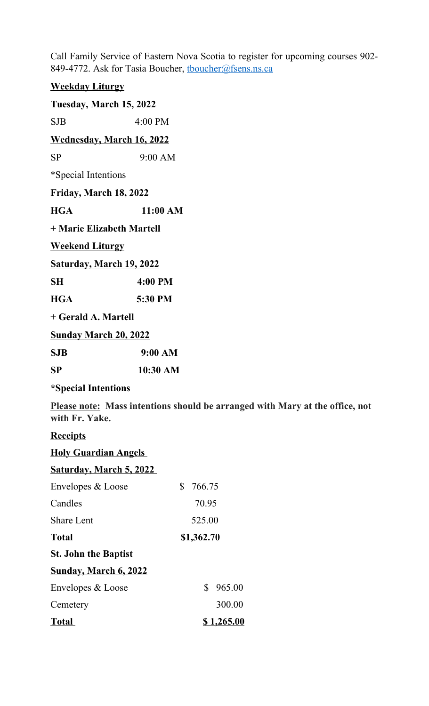Call Family Service of Eastern Nova Scotia to register for upcoming courses 902- 849-4772. Ask for Tasia Boucher, thoucher@fsens.ns.ca

# **Weekday Liturgy Tuesday, March 15, 2022** SJB 4:00 PM **Wednesday, March 16, 2022** SP 9:00 AM

\*Special Intentions

| <u>Friday, March 18, 2022</u>   |          |
|---------------------------------|----------|
| HGA                             | 11:00 AM |
| + Marie Elizabeth Martell       |          |
| <u>Weekend Liturgy</u>          |          |
| <u>Saturday, March 19, 2022</u> |          |
| SН                              | 4:00 PM  |
| <b>HGA</b>                      | 5:30 PM  |
|                                 |          |

**+ Gerald A. Martell** 

**Sunday March 20, 2022**

**SJB 9:00 AM**

**SP 10:30 AM**

## **\*Special Intentions**

**Please note: Mass intentions should be arranged with Mary at the office, not with Fr. Yake.**

# **Receipts**

| <b>Holy Guardian Angels</b>    |            |  |
|--------------------------------|------------|--|
| <b>Saturday, March 5, 2022</b> |            |  |
| Envelopes & Loose              | \$766.75   |  |
| Candles                        | 70.95      |  |
| <b>Share Lent</b>              | 525.00     |  |
| <b>Total</b>                   | \$1,362.70 |  |
| <b>St. John the Baptist</b>    |            |  |
| <u>Sunday, March 6, 2022</u>   |            |  |
| Envelopes & Loose              | \$965.00   |  |
| Cemetery                       | 300.00     |  |
| <b>Total</b>                   | \$1,265.00 |  |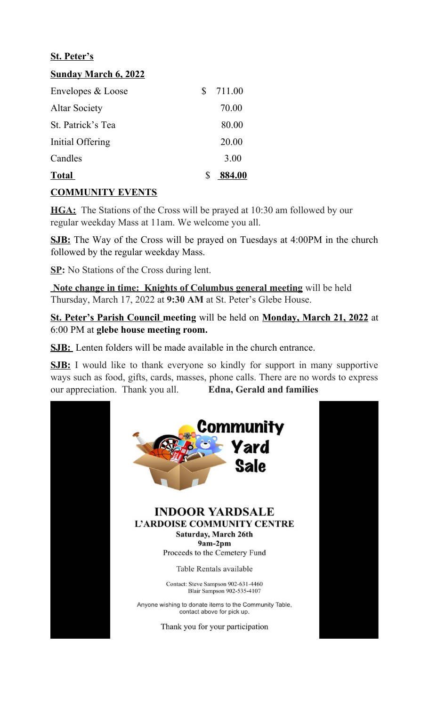## **St. Peter's**

## **Sunday March 6, 2022**

| Envelopes & Loose    | S | 711.00 |
|----------------------|---|--------|
| <b>Altar Society</b> |   | 70.00  |
| St. Patrick's Tea    |   | 80.00  |
| Initial Offering     |   | 20.00  |
| Candles              |   | 3.00   |
| <b>Total</b>         |   | 884.00 |

## **COMMUNITY EVENTS**

**HGA:** The Stations of the Cross will be prayed at 10:30 am followed by our regular weekday Mass at 11am. We welcome you all.

**SJB:** The Way of the Cross will be prayed on Tuesdays at 4:00PM in the church followed by the regular weekday Mass.

**SP:** No Stations of the Cross during lent.

 **Note change in time: Knights of Columbus general meeting** will be held Thursday, March 17, 2022 at **9:30 AM** at St. Peter's Glebe House.

**St. Peter's Parish Council meeting** will be held on **Monday, March 21, 2022** at 6:00 PM at **glebe house meeting room.**

**SJB:** Lenten folders will be made available in the church entrance.

**SJB:** I would like to thank everyone so kindly for support in many supportive ways such as food, gifts, cards, masses, phone calls. There are no words to express our appreciation. Thank you all. **Edna, Gerald and families**

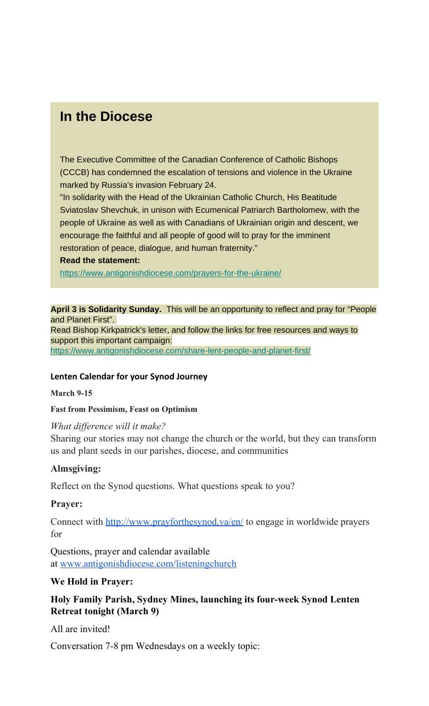# **In the Diocese**

The Executive Committee of the Canadian Conference of Catholic Bishops (CCCB) has condemned the escalation of tensions and violence in the Ukraine marked by Russia's invasion February 24.

"In solidarity with the Head of the Ukrainian Catholic Church, His Beatitude Sviatoslav Shevchuk, in unison with Ecumenical Patriarch Bartholomew, with the people of Ukraine as well as with Canadians of Ukrainian origin and descent, we encourage the faithful and all people of good will to pray for the imminent restoration of peace, dialogue, and human fraternity."

#### **Read the statement:**

[https://www.antigonishdiocese.com/prayers-for-the-ukraine/](https://antigonishdiocese.us11.list-manage.com/track/click?u=46108c95b96680ff598b4aa1d&id=93e7edf132&e=60939d450d)

**April 3 is Solidarity Sunday.** This will be an opportunity to reflect and pray for "People and Planet First".

Read Bishop Kirkpatrick's letter, and follow the links for free resources and ways to support this important campaign:

[https://www.antigonishdiocese.com/share-lent-people-and-planet-first/](https://antigonishdiocese.us11.list-manage.com/track/click?u=46108c95b96680ff598b4aa1d&id=3bc85de865&e=60939d450d)

## **Lenten Calendar for your Synod Journey**

#### **March 9-15**

#### **Fast from Pessimism, Feast on Optimism**

## *What difference will it make?*

Sharing our stories may not change the church or the world, but they can transform us and plant seeds in our parishes, diocese, and communities

## **Almsgiving:**

Reflect on the Synod questions. What questions speak to you?

## **Prayer:**

Connect with <http://www.prayforthesynod.va/en/> to engage in worldwide prayers for

Questions, prayer and calendar available at [www.antigonishdiocese.com/listeningchurch](http://www.antigonishdiocese.com/listeningchurch)

## **We Hold in Prayer:**

# **Holy Family Parish, Sydney Mines, launching its four-week Synod Lenten Retreat tonight (March 9)**

All are invited!

Conversation 7-8 pm Wednesdays on a weekly topic: